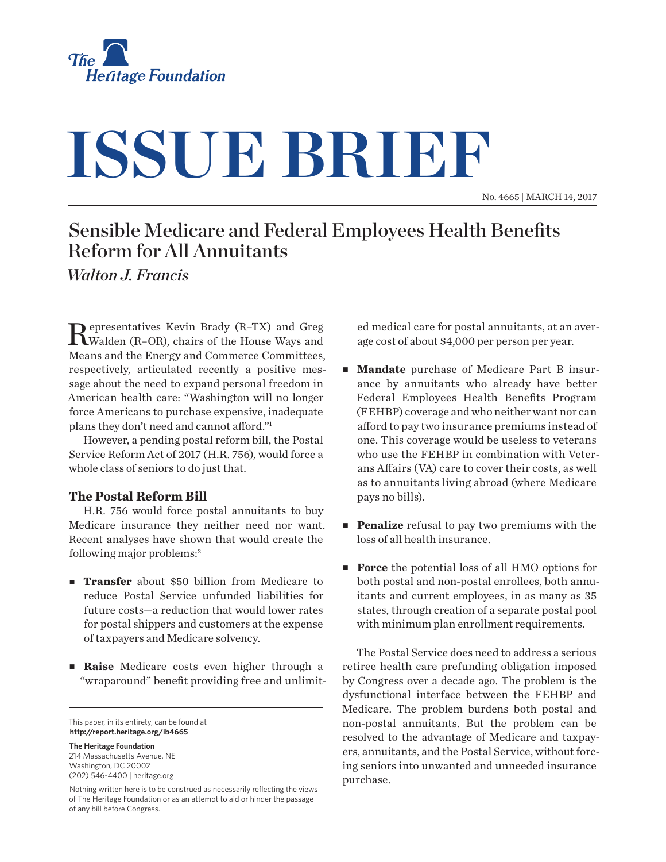

# **ISSUE BRIEF**

No. 4665 | March 14, 2017

## Sensible Medicare and Federal Employees Health Benefits Reform for All Annuitants

*Walton J. Francis*

Representatives Kevin Brady (R–TX) and Greg Walden (R–OR), chairs of the House Ways and Means and the Energy and Commerce Committees, respectively, articulated recently a positive message about the need to expand personal freedom in American health care: "Washington will no longer force Americans to purchase expensive, inadequate plans they don't need and cannot afford."1

However, a pending postal reform bill, the Postal Service Reform Act of 2017 (H.R. 756), would force a whole class of seniors to do just that.

### **The Postal Reform Bill**

H.R. 756 would force postal annuitants to buy Medicare insurance they neither need nor want. Recent analyses have shown that would create the following major problems:2

- **Transfer** about \$50 billion from Medicare to reduce Postal Service unfunded liabilities for future costs—a reduction that would lower rates for postal shippers and customers at the expense of taxpayers and Medicare solvency.
- **Raise** Medicare costs even higher through a "wraparound" benefit providing free and unlimit-

This paper, in its entirety, can be found at **http://report.heritage.org/ib4665**

**The Heritage Foundation** 214 Massachusetts Avenue, NE Washington, DC 20002 (202) 546-4400 | [heritage.org](http://www.heritage.org)

Nothing written here is to be construed as necessarily reflecting the views of The Heritage Foundation or as an attempt to aid or hinder the passage of any bill before Congress.

ed medical care for postal annuitants, at an average cost of about \$4,000 per person per year.

- <sup>n</sup> **Mandate** purchase of Medicare Part B insurance by annuitants who already have better Federal Employees Health Benefits Program (FEHBP) coverage and who neither want nor can afford to pay two insurance premiums instead of one. This coverage would be useless to veterans who use the FEHBP in combination with Veterans Affairs (VA) care to cover their costs, as well as to annuitants living abroad (where Medicare pays no bills).
- **Penalize** refusal to pay two premiums with the loss of all health insurance.
- **Force** the potential loss of all HMO options for both postal and non-postal enrollees, both annuitants and current employees, in as many as 35 states, through creation of a separate postal pool with minimum plan enrollment requirements.

The Postal Service does need to address a serious retiree health care prefunding obligation imposed by Congress over a decade ago. The problem is the dysfunctional interface between the FEHBP and Medicare. The problem burdens both postal and non-postal annuitants. But the problem can be resolved to the advantage of Medicare and taxpayers, annuitants, and the Postal Service, without forcing seniors into unwanted and unneeded insurance purchase.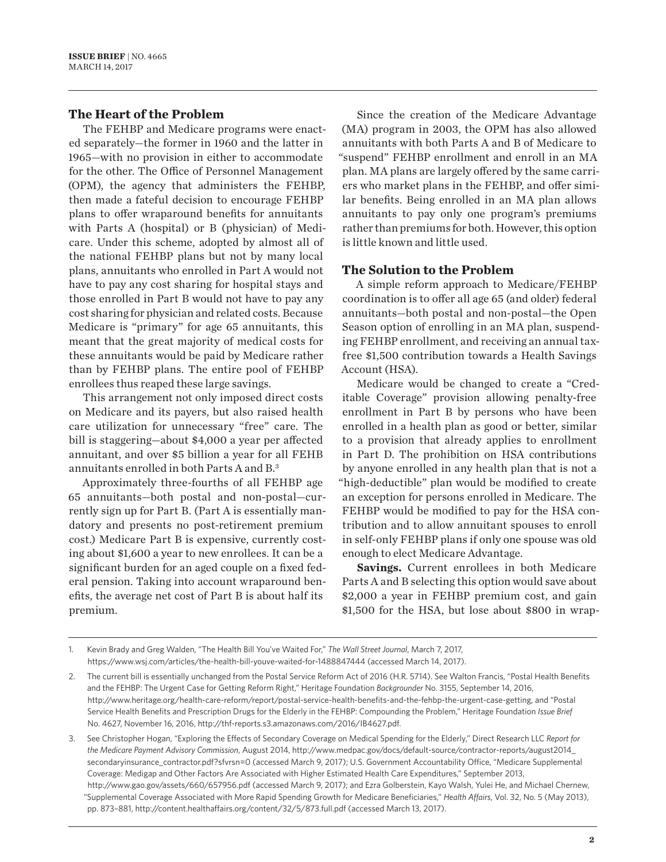#### **The Heart of the Problem**

The FEHBP and Medicare programs were enacted separately—the former in 1960 and the latter in 1965—with no provision in either to accommodate for the other. The Office of Personnel Management (OPM), the agency that administers the FEHBP, then made a fateful decision to encourage FEHBP plans to offer wraparound benefits for annuitants with Parts A (hospital) or B (physician) of Medicare. Under this scheme, adopted by almost all of the national FEHBP plans but not by many local plans, annuitants who enrolled in Part A would not have to pay any cost sharing for hospital stays and those enrolled in Part B would not have to pay any cost sharing for physician and related costs. Because Medicare is "primary" for age 65 annuitants, this meant that the great majority of medical costs for these annuitants would be paid by Medicare rather than by FEHBP plans. The entire pool of FEHBP enrollees thus reaped these large savings.

This arrangement not only imposed direct costs on Medicare and its payers, but also raised health care utilization for unnecessary "free" care. The bill is staggering—about \$4,000 a year per affected annuitant, and over \$5 billion a year for all FEHB annuitants enrolled in both Parts A and B.3

Approximately three-fourths of all FEHBP age 65 annuitants—both postal and non-postal—currently sign up for Part B. (Part A is essentially mandatory and presents no post-retirement premium cost.) Medicare Part B is expensive, currently costing about \$1,600 a year to new enrollees. It can be a significant burden for an aged couple on a fixed federal pension. Taking into account wraparound benefits, the average net cost of Part B is about half its premium.

Since the creation of the Medicare Advantage (MA) program in 2003, the OPM has also allowed annuitants with both Parts A and B of Medicare to "suspend" FEHBP enrollment and enroll in an MA plan. MA plans are largely offered by the same carriers who market plans in the FEHBP, and offer similar benefits. Being enrolled in an MA plan allows annuitants to pay only one program's premiums rather than premiums for both. However, this option is little known and little used.

#### **The Solution to the Problem**

A simple reform approach to Medicare/FEHBP coordination is to offer all age 65 (and older) federal annuitants—both postal and non-postal—the Open Season option of enrolling in an MA plan, suspending FEHBP enrollment, and receiving an annual taxfree \$1,500 contribution towards a Health Savings Account (HSA).

Medicare would be changed to create a "Creditable Coverage" provision allowing penalty-free enrollment in Part B by persons who have been enrolled in a health plan as good or better, similar to a provision that already applies to enrollment in Part D. The prohibition on HSA contributions by anyone enrolled in any health plan that is not a "high-deductible" plan would be modified to create an exception for persons enrolled in Medicare. The FEHBP would be modified to pay for the HSA contribution and to allow annuitant spouses to enroll in self-only FEHBP plans if only one spouse was old enough to elect Medicare Advantage.

**Savings.** Current enrollees in both Medicare Parts A and B selecting this option would save about \$2,000 a year in FEHBP premium cost, and gain \$1,500 for the HSA, but lose about \$800 in wrap-

<sup>1.</sup> Kevin Brady and Greg Walden, "The Health Bill You've Waited For," *The Wall Street Journal*, March 7, 2017, <https://www.wsj.com/articles/the-health-bill-youve-waited-for-1488847444>(accessed March 14, 2017).

<sup>2.</sup> The current bill is essentially unchanged from the Postal Service Reform Act of 2016 (H.R. 5714). See Walton Francis, "Postal Health Benefits and the FEHBP: The Urgent Case for Getting Reform Right," Heritage Foundation *Backgrounder* No. 3155, September 14, 2016, <http://www.heritage.org/health-care-reform/report/postal-service-health-benefits-and-the-fehbp-the-urgent-case-getting>, and "Postal Service Health Benefits and Prescription Drugs for the Elderly in the FEHBP: Compounding the Problem," Heritage Foundation *Issue Brief* No. 4627, November 16, 2016, <http://thf-reports.s3.amazonaws.com/2016/IB4627.pdf>.

<sup>3.</sup> See Christopher Hogan, "Exploring the Effects of Secondary Coverage on Medical Spending for the Elderly," Direct Research LLC *Report for the Medicare Payment Advisory Commission*, August 2014, [http://www.medpac.gov/docs/default-source/contractor-reports/august2014\\_](http://www.medpac.gov/docs/default-source/contractor-reports/august2014_secondaryinsurance_contractor.pdf?sfvrsn=0) [secondaryinsurance\\_contractor.pdf?sfvrsn=0](http://www.medpac.gov/docs/default-source/contractor-reports/august2014_secondaryinsurance_contractor.pdf?sfvrsn=0) (accessed March 9, 2017); U.S. Government Accountability Office, "Medicare Supplemental Coverage: Medigap and Other Factors Are Associated with Higher Estimated Health Care Expenditures," September 2013, <http://www.gao.gov/assets/660/657956.pdf> (accessed March 9, 2017); and Ezra Golberstein, Kayo Walsh, Yulei He, and Michael Chernew, "Supplemental Coverage Associated with More Rapid Spending Growth for Medicare Beneficiaries," *Health Affairs*, Vol. 32, No. 5 (May 2013), pp. 873–881,<http://content.healthaffairs.org/content/32/5/873.full.pdf> (accessed March 13, 2017).